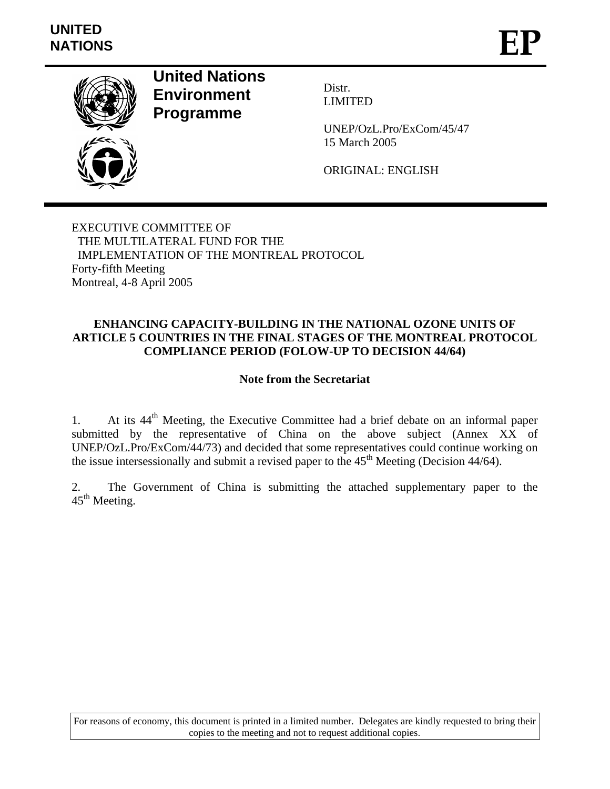

**United Nations Environment Programme**

Distr. LIMITED

UNEP/OzL.Pro/ExCom/45/47 15 March 2005

ORIGINAL: ENGLISH

EXECUTIVE COMMITTEE OF THE MULTILATERAL FUND FOR THE IMPLEMENTATION OF THE MONTREAL PROTOCOL Forty-fifth Meeting Montreal, 4-8 April 2005

## **ENHANCING CAPACITY-BUILDING IN THE NATIONAL OZONE UNITS OF ARTICLE 5 COUNTRIES IN THE FINAL STAGES OF THE MONTREAL PROTOCOL COMPLIANCE PERIOD (FOLOW-UP TO DECISION 44/64)**

## **Note from the Secretariat**

1. At its 44<sup>th</sup> Meeting, the Executive Committee had a brief debate on an informal paper submitted by the representative of China on the above subject (Annex XX of UNEP/OzL.Pro/ExCom/44/73) and decided that some representatives could continue working on the issue intersessionally and submit a revised paper to the  $45<sup>th</sup>$  Meeting (Decision 44/64).

2. The Government of China is submitting the attached supplementary paper to the  $45<sup>th</sup>$  Meeting.

For reasons of economy, this document is printed in a limited number. Delegates are kindly requested to bring their copies to the meeting and not to request additional copies.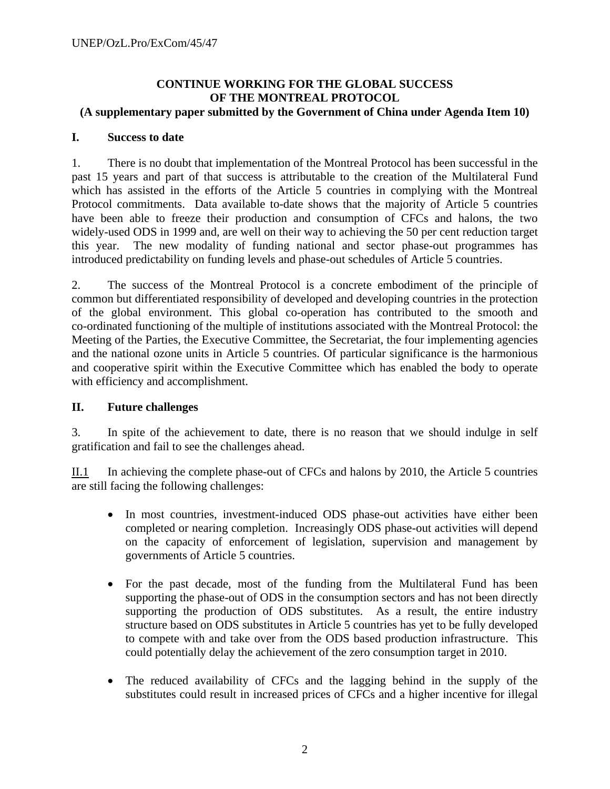#### **CONTINUE WORKING FOR THE GLOBAL SUCCESS OF THE MONTREAL PROTOCOL (A supplementary paper submitted by the Government of China under Agenda Item 10)**

## **I. Success to date**

1. There is no doubt that implementation of the Montreal Protocol has been successful in the past 15 years and part of that success is attributable to the creation of the Multilateral Fund which has assisted in the efforts of the Article 5 countries in complying with the Montreal Protocol commitments. Data available to-date shows that the majority of Article 5 countries have been able to freeze their production and consumption of CFCs and halons, the two widely-used ODS in 1999 and, are well on their way to achieving the 50 per cent reduction target this year. The new modality of funding national and sector phase-out programmes has introduced predictability on funding levels and phase-out schedules of Article 5 countries.

2. The success of the Montreal Protocol is a concrete embodiment of the principle of common but differentiated responsibility of developed and developing countries in the protection of the global environment. This global co-operation has contributed to the smooth and co-ordinated functioning of the multiple of institutions associated with the Montreal Protocol: the Meeting of the Parties, the Executive Committee, the Secretariat, the four implementing agencies and the national ozone units in Article 5 countries. Of particular significance is the harmonious and cooperative spirit within the Executive Committee which has enabled the body to operate with efficiency and accomplishment.

# **II. Future challenges**

3. In spite of the achievement to date, there is no reason that we should indulge in self gratification and fail to see the challenges ahead.

II.1 In achieving the complete phase-out of CFCs and halons by 2010, the Article 5 countries are still facing the following challenges:

- In most countries, investment-induced ODS phase-out activities have either been completed or nearing completion. Increasingly ODS phase-out activities will depend on the capacity of enforcement of legislation, supervision and management by governments of Article 5 countries.
- For the past decade, most of the funding from the Multilateral Fund has been supporting the phase-out of ODS in the consumption sectors and has not been directly supporting the production of ODS substitutes. As a result, the entire industry structure based on ODS substitutes in Article 5 countries has yet to be fully developed to compete with and take over from the ODS based production infrastructure. This could potentially delay the achievement of the zero consumption target in 2010.
- The reduced availability of CFCs and the lagging behind in the supply of the substitutes could result in increased prices of CFCs and a higher incentive for illegal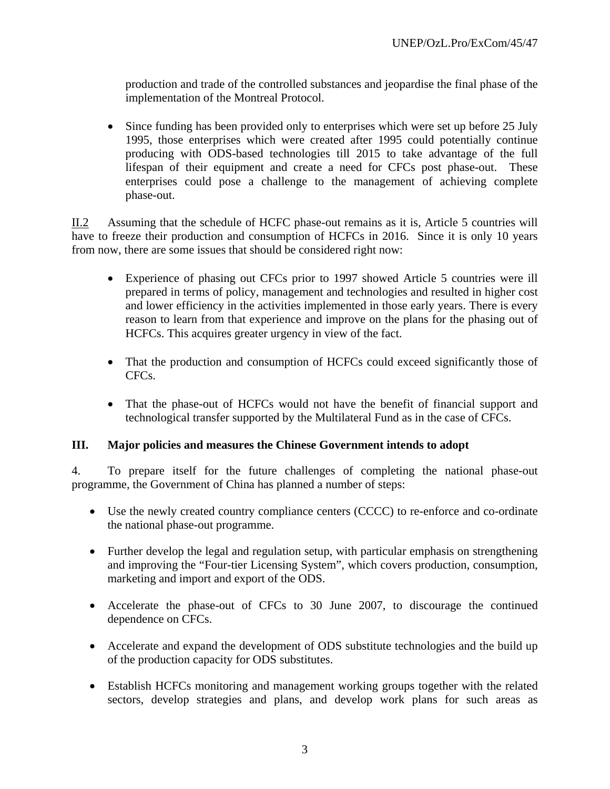production and trade of the controlled substances and jeopardise the final phase of the implementation of the Montreal Protocol.

• Since funding has been provided only to enterprises which were set up before 25 July 1995, those enterprises which were created after 1995 could potentially continue producing with ODS-based technologies till 2015 to take advantage of the full lifespan of their equipment and create a need for CFCs post phase-out. These enterprises could pose a challenge to the management of achieving complete phase-out.

II.2 Assuming that the schedule of HCFC phase-out remains as it is, Article 5 countries will have to freeze their production and consumption of HCFCs in 2016. Since it is only 10 years from now, there are some issues that should be considered right now:

- Experience of phasing out CFCs prior to 1997 showed Article 5 countries were ill prepared in terms of policy, management and technologies and resulted in higher cost and lower efficiency in the activities implemented in those early years. There is every reason to learn from that experience and improve on the plans for the phasing out of HCFCs. This acquires greater urgency in view of the fact.
- That the production and consumption of HCFCs could exceed significantly those of CFCs.
- That the phase-out of HCFCs would not have the benefit of financial support and technological transfer supported by the Multilateral Fund as in the case of CFCs.

## **III. Major policies and measures the Chinese Government intends to adopt**

4. To prepare itself for the future challenges of completing the national phase-out programme, the Government of China has planned a number of steps:

- Use the newly created country compliance centers (CCCC) to re-enforce and co-ordinate the national phase-out programme.
- Further develop the legal and regulation setup, with particular emphasis on strengthening and improving the "Four-tier Licensing System", which covers production, consumption, marketing and import and export of the ODS.
- Accelerate the phase-out of CFCs to 30 June 2007, to discourage the continued dependence on CFCs.
- Accelerate and expand the development of ODS substitute technologies and the build up of the production capacity for ODS substitutes.
- Establish HCFCs monitoring and management working groups together with the related sectors, develop strategies and plans, and develop work plans for such areas as